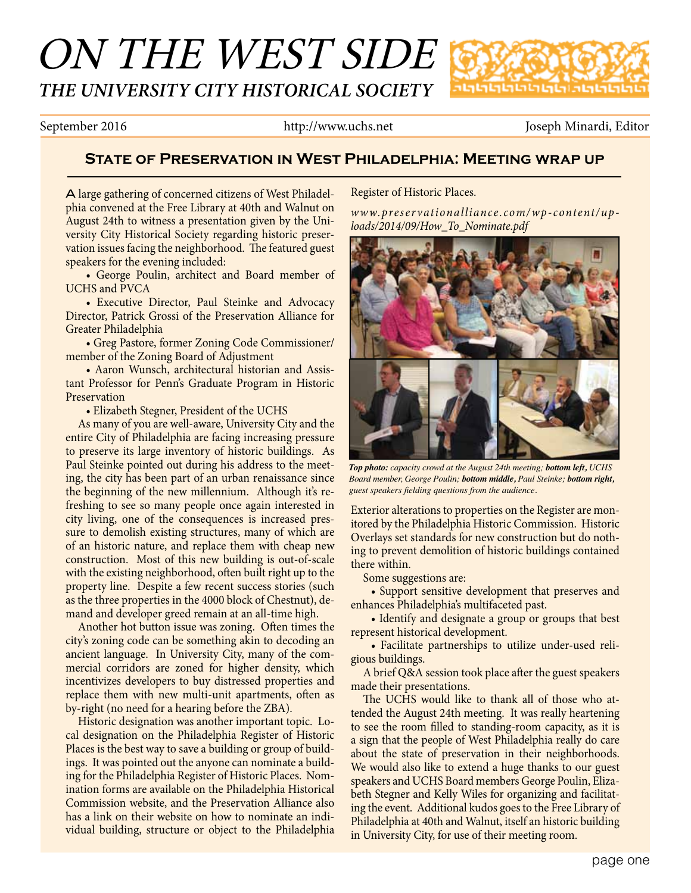# ON THE WEST SIDE *THE UNIVERSITY CITY HISTORICAL SOCIETY*



September 2016 http://www.uchs.net Joseph Minardi, Editor

## **State of Preservation in West Philadelphia: Meeting wrap up**

A large gathering of concerned citizens of West Philadelphia convened at the Free Library at 40th and Walnut on August 24th to witness a presentation given by the University City Historical Society regarding historic preservation issues facing the neighborhood. The featured guest speakers for the evening included:

• George Poulin, architect and Board member of UCHS and PVCA

• Executive Director, Paul Steinke and Advocacy Director, Patrick Grossi of the Preservation Alliance for Greater Philadelphia

• Greg Pastore, former Zoning Code Commissioner/ member of the Zoning Board of Adjustment

• Aaron Wunsch, architectural historian and Assistant Professor for Penn's Graduate Program in Historic Preservation

• Elizabeth Stegner, President of the UCHS

 As many of you are well-aware, University City and the entire City of Philadelphia are facing increasing pressure to preserve its large inventory of historic buildings. As Paul Steinke pointed out during his address to the meeting, the city has been part of an urban renaissance since the beginning of the new millennium. Although it's refreshing to see so many people once again interested in city living, one of the consequences is increased pressure to demolish existing structures, many of which are of an historic nature, and replace them with cheap new construction. Most of this new building is out-of-scale with the existing neighborhood, often built right up to the property line. Despite a few recent success stories (such as the three properties in the 4000 block of Chestnut), demand and developer greed remain at an all-time high.

Another hot button issue was zoning. Often times the city's zoning code can be something akin to decoding an ancient language. In University City, many of the commercial corridors are zoned for higher density, which incentivizes developers to buy distressed properties and replace them with new multi-unit apartments, often as by-right (no need for a hearing before the ZBA).

 Historic designation was another important topic. Local designation on the Philadelphia Register of Historic Places is the best way to save a building or group of buildings. It was pointed out the anyone can nominate a building for the Philadelphia Register of Historic Places. Nomination forms are available on the Philadelphia Historical Commission website, and the Preservation Alliance also has a link on their website on how to nominate an individual building, structure or object to the Philadelphia Register of Historic Places.

*www.preservationalliance.com/wp-content/uploads/2014/09/How\_To\_Nominate.pdf*



*Top photo: capacity crowd at the August 24th meeting; bottom left, UCHS Board member, George Poulin; bottom middle, Paul Steinke; bottom right, guest speakers fi elding questions from the audience.* 

Exterior alterations to properties on the Register are monitored by the Philadelphia Historic Commission. Historic Overlays set standards for new construction but do nothing to prevent demolition of historic buildings contained there within.

Some suggestions are:

• Support sensitive development that preserves and enhances Philadelphia's multifaceted past.

• Identify and designate a group or groups that best represent historical development.

• Facilitate partnerships to utilize under-used religious buildings.

A brief Q&A session took place after the guest speakers made their presentations.

The UCHS would like to thank all of those who attended the August 24th meeting. It was really heartening to see the room filled to standing-room capacity, as it is a sign that the people of West Philadelphia really do care about the state of preservation in their neighborhoods. We would also like to extend a huge thanks to our guest speakers and UCHS Board members George Poulin, Elizabeth Stegner and Kelly Wiles for organizing and facilitating the event. Additional kudos goes to the Free Library of Philadelphia at 40th and Walnut, itself an historic building in University City, for use of their meeting room.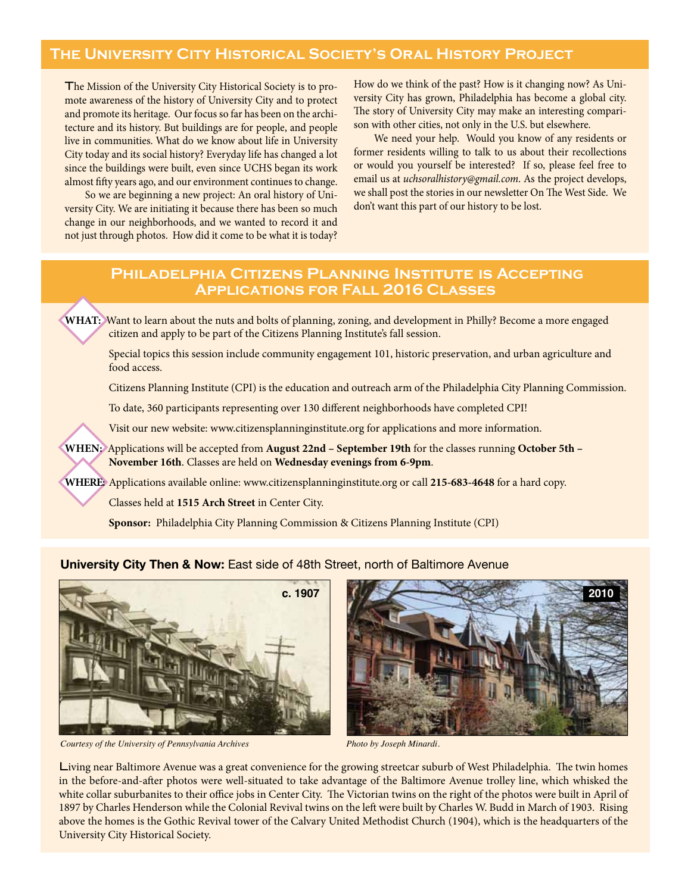# **The University City Historical Society's Oral History Project**

The Mission of the University City Historical Society is to promote awareness of the history of University City and to protect and promote its heritage. Our focus so far has been on the architecture and its history. But buildings are for people, and people live in communities. What do we know about life in University City today and its social history? Everyday life has changed a lot since the buildings were built, even since UCHS began its work almost fifty years ago, and our environment continues to change.

So we are beginning a new project: An oral history of University City. We are initiating it because there has been so much change in our neighborhoods, and we wanted to record it and not just through photos. How did it come to be what it is today? How do we think of the past? How is it changing now? As University City has grown, Philadelphia has become a global city. The story of University City may make an interesting comparison with other cities, not only in the U.S. but elsewhere.

 We need your help. Would you know of any residents or former residents willing to talk to us about their recollections or would you yourself be interested? If so, please feel free to email us at *uchsoralhistory@gmail.com*. As the project develops, we shall post the stories in our newsletter On The West Side. We don't want this part of our history to be lost.

## **Philadelphia Citizens Planning Institute is Accepting Applications for Fall 2016 Classes**

WHAT: Want to learn about the nuts and bolts of planning, zoning, and development in Philly? Become a more engaged citizen and apply to be part of the Citizens Planning Institute's fall session.

 Special topics this session include community engagement 101, historic preservation, and urban agriculture and food access.

Citizens Planning Institute (CPI) is the education and outreach arm of the Philadelphia City Planning Commission.

To date, 360 participants representing over 130 different neighborhoods have completed CPI!

Visit our new website: www.citizensplanninginstitute.org for applications and more information.

**WHEN:** Applications will be accepted from **August 22nd – September 19th** for the classes running **October 5th – November 16th**. Classes are held on **Wednesday evenings from 6-9pm**.

**WHERE:** Applications available online: www.citizensplanninginstitute.org or call **215-683-4648** for a hard copy.

Classes held at **1515 Arch Street** in Center City.

**Sponsor:** Philadelphia City Planning Commission & Citizens Planning Institute (CPI)

## **University City Then & Now: East side of 48th Street, north of Baltimore Avenue**



*Courtesy of the University of Pennsylvania Archives Photo by Joseph Minardi.*



Living near Baltimore Avenue was a great convenience for the growing streetcar suburb of West Philadelphia. The twin homes in the before-and-after photos were well-situated to take advantage of the Baltimore Avenue trolley line, which whisked the white collar suburbanites to their office jobs in Center City. The Victorian twins on the right of the photos were built in April of 1897 by Charles Henderson while the Colonial Revival twins on the left were built by Charles W. Budd in March of 1903. Rising above the homes is the Gothic Revival tower of the Calvary United Methodist Church (1904), which is the headquarters of the University City Historical Society.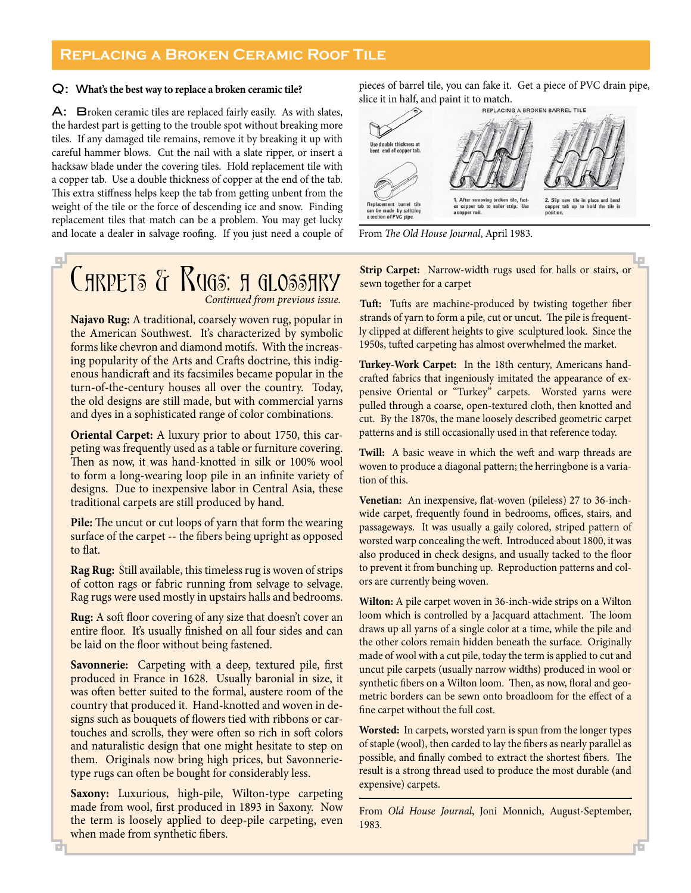## **Replacing a Broken Ceramic Roof Tile**

#### Q: W**hat's the best way to replace a broken ceramic tile?**

A: Broken ceramic tiles are replaced fairly easily. As with slates, the hardest part is getting to the trouble spot without breaking more tiles. If any damaged tile remains, remove it by breaking it up with careful hammer blows. Cut the nail with a slate ripper, or insert a hacksaw blade under the covering tiles. Hold replacement tile with a copper tab. Use a double thickness of copper at the end of the tab. This extra stiffness helps keep the tab from getting unbent from the weight of the tile or the force of descending ice and snow. Finding replacement tiles that match can be a problem. You may get lucky and locate a dealer in salvage roofing. If you just need a couple of

## 44 CARPETS & RUGS: A GLOSSARY  *Continued from previous issue.*

**Najavo Rug:** A traditional, coarsely woven rug, popular in the American Southwest. It's characterized by symbolic forms like chevron and diamond motifs. With the increasing popularity of the Arts and Crafts doctrine, this indigenous handicraft and its facsimiles became popular in the turn-of-the-century houses all over the country. Today, the old designs are still made, but with commercial yarns and dyes in a sophisticated range of color combinations.

**Oriental Carpet:** A luxury prior to about 1750, this carpeting was frequently used as a table or furniture covering. Then as now, it was hand-knotted in silk or 100% wool to form a long-wearing loop pile in an infinite variety of designs. Due to inexpensive labor in Central Asia, these traditional carpets are still produced by hand.

Pile: The uncut or cut loops of yarn that form the wearing surface of the carpet -- the fibers being upright as opposed to flat.

**Rag Rug:** Still available, this timeless rug is woven of strips of cotton rags or fabric running from selvage to selvage. Rag rugs were used mostly in upstairs halls and bedrooms.

**Rug:** A soft floor covering of any size that doesn't cover an entire floor. It's usually finished on all four sides and can be laid on the floor without being fastened.

**Savonnerie:** Carpeting with a deep, textured pile, first produced in France in 1628. Usually baronial in size, it was often better suited to the formal, austere room of the country that produced it. Hand-knotted and woven in designs such as bouquets of flowers tied with ribbons or cartouches and scrolls, they were often so rich in soft colors and naturalistic design that one might hesitate to step on them. Originals now bring high prices, but Savonnerietype rugs can often be bought for considerably less.

**Saxony:** Luxurious, high-pile, Wilton-type carpeting made from wool, first produced in 1893 in Saxony. Now the term is loosely applied to deep-pile carpeting, even when made from synthetic fibers.

pieces of barrel tile, you can fake it. Get a piece of PVC drain pipe, slice it in half, and paint it to match.



From *The Old House Journal*, April 1983.

**Strip Carpet:** Narrow-width rugs used for halls or stairs, or sewn together for a carpet

Tuft: Tufts are machine-produced by twisting together fiber strands of yarn to form a pile, cut or uncut. The pile is frequently clipped at different heights to give sculptured look. Since the 1950s, tufted carpeting has almost overwhelmed the market.

**Turkey-Work Carpet:** In the 18th century, Americans handcrafted fabrics that ingeniously imitated the appearance of expensive Oriental or "Turkey" carpets. Worsted yarns were pulled through a coarse, open-textured cloth, then knotted and cut. By the 1870s, the mane loosely described geometric carpet patterns and is still occasionally used in that reference today.

**Twill:** A basic weave in which the weft and warp threads are woven to produce a diagonal pattern; the herringbone is a variation of this.

**Venetian:** An inexpensive, flat-woven (pileless) 27 to 36-inchwide carpet, frequently found in bedrooms, offices, stairs, and passageways. It was usually a gaily colored, striped pattern of worsted warp concealing the weft. Introduced about 1800, it was also produced in check designs, and usually tacked to the floor to prevent it from bunching up. Reproduction patterns and colors are currently being woven.

**Wilton:** A pile carpet woven in 36-inch-wide strips on a Wilton loom which is controlled by a Jacquard attachment. The loom draws up all yarns of a single color at a time, while the pile and the other colors remain hidden beneath the surface. Originally made of wool with a cut pile, today the term is applied to cut and uncut pile carpets (usually narrow widths) produced in wool or synthetic fibers on a Wilton loom. Then, as now, floral and geometric borders can be sewn onto broadloom for the effect of a fine carpet without the full cost.

**Worsted:** In carpets, worsted yarn is spun from the longer types of staple (wool), then carded to lay the fibers as nearly parallel as possible, and finally combed to extract the shortest fibers. The result is a strong thread used to produce the most durable (and expensive) carpets.

From *Old House Journal*, Joni Monnich, August-September, 1983.